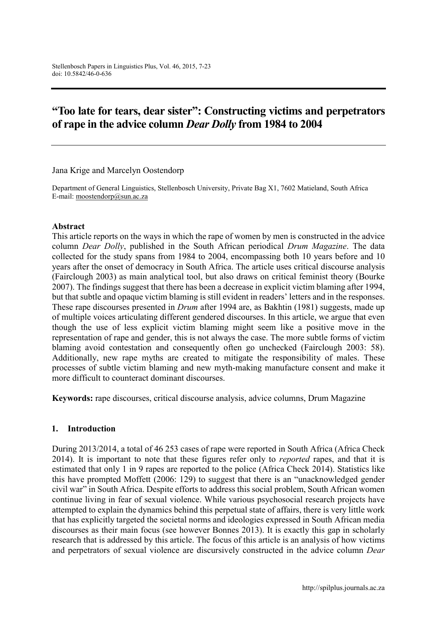# **"Too late for tears, dear sister": Constructing victims and perpetrators of rape in the advice column** *Dear Dolly* **from 1984 to 2004**

Jana Krige and Marcelyn Oostendorp

Department of General Linguistics, Stellenbosch University, Private Bag X1, 7602 Matieland, South Africa E-mail: [moostendorp@sun.ac.za](mailto:moostendorp@sun.ac.za)

#### **Abstract**

This article reports on the ways in which the rape of women by men is constructed in the advice column *Dear Dolly*, published in the South African periodical *Drum Magazine*. The data collected for the study spans from 1984 to 2004, encompassing both 10 years before and 10 years after the onset of democracy in South Africa. The article uses critical discourse analysis (Fairclough 2003) as main analytical tool, but also draws on critical feminist theory (Bourke 2007). The findings suggest that there has been a decrease in explicit victim blaming after 1994, but that subtle and opaque victim blaming is still evident in readers' letters and in the responses. These rape discourses presented in *Drum* after 1994 are, as Bakhtin (1981) suggests, made up of multiple voices articulating different gendered discourses. In this article, we argue that even though the use of less explicit victim blaming might seem like a positive move in the representation of rape and gender, this is not always the case. The more subtle forms of victim blaming avoid contestation and consequently often go unchecked (Fairclough 2003: 58). Additionally, new rape myths are created to mitigate the responsibility of males. These processes of subtle victim blaming and new myth-making manufacture consent and make it more difficult to counteract dominant discourses.

**Keywords:** rape discourses, critical discourse analysis, advice columns, Drum Magazine

#### **1. Introduction**

During 2013/2014, a total of 46 253 cases of rape were reported in South Africa (Africa Check 2014). It is important to note that these figures refer only to *reported* rapes, and that it is estimated that only 1 in 9 rapes are reported to the police (Africa Check 2014). Statistics like this have prompted Moffett (2006: 129) to suggest that there is an "unacknowledged gender civil war" in South Africa. Despite efforts to address this social problem, South African women continue living in fear of sexual violence. While various psychosocial research projects have attempted to explain the dynamics behind this perpetual state of affairs, there is very little work that has explicitly targeted the societal norms and ideologies expressed in South African media discourses as their main focus (see however Bonnes 2013). It is exactly this gap in scholarly research that is addressed by this article. The focus of this article is an analysis of how victims and perpetrators of sexual violence are discursively constructed in the advice column *Dear*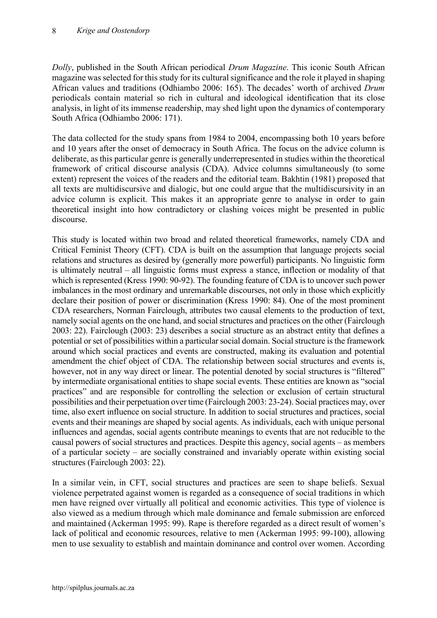*Dolly*, published in the South African periodical *Drum Magazine*. This iconic South African magazine was selected for this study for its cultural significance and the role it played in shaping African values and traditions (Odhiambo 2006: 165). The decades' worth of archived *Drum* periodicals contain material so rich in cultural and ideological identification that its close analysis, in light of its immense readership, may shed light upon the dynamics of contemporary South Africa (Odhiambo 2006: 171).

The data collected for the study spans from 1984 to 2004, encompassing both 10 years before and 10 years after the onset of democracy in South Africa. The focus on the advice column is deliberate, as this particular genre is generally underrepresented in studies within the theoretical framework of critical discourse analysis (CDA). Advice columns simultaneously (to some extent) represent the voices of the readers and the editorial team. Bakhtin (1981) proposed that all texts are multidiscursive and dialogic, but one could argue that the multidiscursivity in an advice column is explicit. This makes it an appropriate genre to analyse in order to gain theoretical insight into how contradictory or clashing voices might be presented in public discourse.

This study is located within two broad and related theoretical frameworks, namely CDA and Critical Feminist Theory (CFT). CDA is built on the assumption that language projects social relations and structures as desired by (generally more powerful) participants. No linguistic form is ultimately neutral – all linguistic forms must express a stance, inflection or modality of that which is represented (Kress 1990: 90-92). The founding feature of CDA is to uncover such power imbalances in the most ordinary and unremarkable discourses, not only in those which explicitly declare their position of power or discrimination (Kress 1990: 84). One of the most prominent CDA researchers, Norman Fairclough, attributes two causal elements to the production of text, namely social agents on the one hand, and social structures and practices on the other (Fairclough 2003: 22). Fairclough (2003: 23) describes a social structure as an abstract entity that defines a potential or set of possibilities within a particular social domain. Social structure is the framework around which social practices and events are constructed, making its evaluation and potential amendment the chief object of CDA. The relationship between social structures and events is, however, not in any way direct or linear. The potential denoted by social structures is "filtered" by intermediate organisational entities to shape social events. These entities are known as "social practices" and are responsible for controlling the selection or exclusion of certain structural possibilities and their perpetuation over time (Fairclough 2003: 23-24). Social practices may, over time, also exert influence on social structure. In addition to social structures and practices, social events and their meanings are shaped by social agents. As individuals, each with unique personal influences and agendas, social agents contribute meanings to events that are not reducible to the causal powers of social structures and practices. Despite this agency, social agents – as members of a particular society – are socially constrained and invariably operate within existing social structures (Fairclough 2003: 22).

In a similar vein, in CFT, social structures and practices are seen to shape beliefs. Sexual violence perpetrated against women is regarded as a consequence of social traditions in which men have reigned over virtually all political and economic activities. This type of violence is also viewed as a medium through which male dominance and female submission are enforced and maintained (Ackerman 1995: 99). Rape is therefore regarded as a direct result of women's lack of political and economic resources, relative to men (Ackerman 1995: 99-100), allowing men to use sexuality to establish and maintain dominance and control over women. According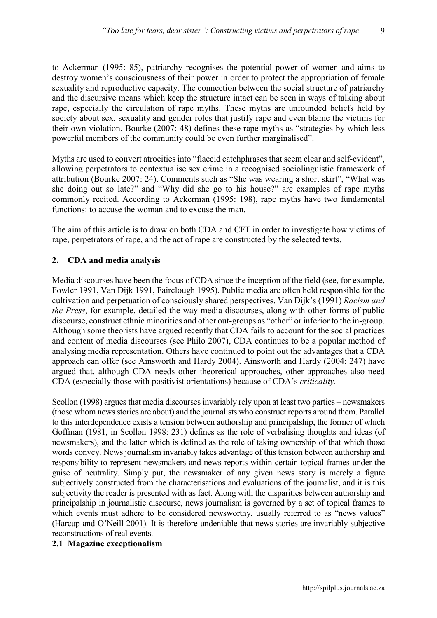9

to Ackerman (1995: 85), patriarchy recognises the potential power of women and aims to destroy women's consciousness of their power in order to protect the appropriation of female sexuality and reproductive capacity. The connection between the social structure of patriarchy and the discursive means which keep the structure intact can be seen in ways of talking about rape, especially the circulation of rape myths. These myths are unfounded beliefs held by society about sex, sexuality and gender roles that justify rape and even blame the victims for their own violation. Bourke (2007: 48) defines these rape myths as "strategies by which less powerful members of the community could be even further marginalised".

Myths are used to convert atrocities into "flaccid catchphrases that seem clear and self-evident", allowing perpetrators to contextualise sex crime in a recognised sociolinguistic framework of attribution (Bourke 2007: 24). Comments such as "She was wearing a short skirt", "What was she doing out so late?" and "Why did she go to his house?" are examples of rape myths commonly recited. According to Ackerman (1995: 198), rape myths have two fundamental functions: to accuse the woman and to excuse the man.

The aim of this article is to draw on both CDA and CFT in order to investigate how victims of rape, perpetrators of rape, and the act of rape are constructed by the selected texts.

#### **2. CDA and media analysis**

Media discourses have been the focus of CDA since the inception of the field (see, for example, Fowler 1991, Van Dijk 1991, Fairclough 1995). Public media are often held responsible for the cultivation and perpetuation of consciously shared perspectives. Van Dijk's (1991) *Racism and the Press*, for example, detailed the way media discourses, along with other forms of public discourse, construct ethnic minorities and other out-groups as "other" or inferior to the in-group. Although some theorists have argued recently that CDA fails to account for the social practices and content of media discourses (see Philo 2007), CDA continues to be a popular method of analysing media representation. Others have continued to point out the advantages that a CDA approach can offer (see Ainsworth and Hardy 2004). Ainsworth and Hardy (2004: 247) have argued that, although CDA needs other theoretical approaches, other approaches also need CDA (especially those with positivist orientations) because of CDA's *criticality.*

Scollon (1998) argues that media discourses invariably rely upon at least two parties – newsmakers (those whom news stories are about) and the journalists who construct reports around them. Parallel to this interdependence exists a tension between authorship and principalship, the former of which Goffman (1981, in Scollon 1998: 231) defines as the role of verbalising thoughts and ideas (of newsmakers), and the latter which is defined as the role of taking ownership of that which those words convey. News journalism invariably takes advantage of this tension between authorship and responsibility to represent newsmakers and news reports within certain topical frames under the guise of neutrality. Simply put, the newsmaker of any given news story is merely a figure subjectively constructed from the characterisations and evaluations of the journalist, and it is this subjectivity the reader is presented with as fact. Along with the disparities between authorship and principalship in journalistic discourse, news journalism is governed by a set of topical frames to which events must adhere to be considered newsworthy, usually referred to as "news values" (Harcup and O'Neill 2001). It is therefore undeniable that news stories are invariably subjective reconstructions of real events.

#### **2.1 Magazine exceptionalism**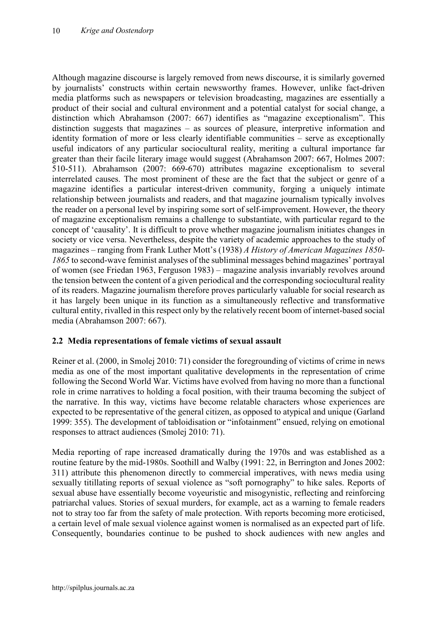Although magazine discourse is largely removed from news discourse, it is similarly governed by journalists' constructs within certain newsworthy frames. However, unlike fact-driven media platforms such as newspapers or television broadcasting, magazines are essentially a product of their social and cultural environment and a potential catalyst for social change, a distinction which Abrahamson (2007: 667) identifies as "magazine exceptionalism". This distinction suggests that magazines – as sources of pleasure, interpretive information and identity formation of more or less clearly identifiable communities – serve as exceptionally useful indicators of any particular sociocultural reality, meriting a cultural importance far greater than their facile literary image would suggest (Abrahamson 2007: 667, Holmes 2007: 510-511). Abrahamson (2007: 669-670) attributes magazine exceptionalism to several interrelated causes. The most prominent of these are the fact that the subject or genre of a magazine identifies a particular interest-driven community, forging a uniquely intimate relationship between journalists and readers, and that magazine journalism typically involves the reader on a personal level by inspiring some sort of self-improvement. However, the theory of magazine exceptionalism remains a challenge to substantiate, with particular regard to the concept of 'causality'. It is difficult to prove whether magazine journalism initiates changes in society or vice versa. Nevertheless, despite the variety of academic approaches to the study of magazines – ranging from Frank Luther Mott's (1938) *A History of American Magazines 1850- 1865* to second-wave feminist analyses of the subliminal messages behind magazines' portrayal of women (see Friedan 1963, Ferguson 1983) – magazine analysis invariably revolves around the tension between the content of a given periodical and the corresponding sociocultural reality of its readers. Magazine journalism therefore proves particularly valuable for social research as it has largely been unique in its function as a simultaneously reflective and transformative cultural entity, rivalled in this respect only by the relatively recent boom of internet-based social media (Abrahamson 2007: 667).

#### **2.2 Media representations of female victims of sexual assault**

Reiner et al. (2000, in Smolej 2010: 71) consider the foregrounding of victims of crime in news media as one of the most important qualitative developments in the representation of crime following the Second World War. Victims have evolved from having no more than a functional role in crime narratives to holding a focal position, with their trauma becoming the subject of the narrative. In this way, victims have become relatable characters whose experiences are expected to be representative of the general citizen, as opposed to atypical and unique (Garland 1999: 355). The development of tabloidisation or "infotainment" ensued, relying on emotional responses to attract audiences (Smolej 2010: 71).

Media reporting of rape increased dramatically during the 1970s and was established as a routine feature by the mid-1980s. Soothill and Walby (1991: 22, in Berrington and Jones 2002: 311) attribute this phenomenon directly to commercial imperatives, with news media using sexually titillating reports of sexual violence as "soft pornography" to hike sales. Reports of sexual abuse have essentially become voyeuristic and misogynistic, reflecting and reinforcing patriarchal values. Stories of sexual murders, for example, act as a warning to female readers not to stray too far from the safety of male protection. With reports becoming more eroticised, a certain level of male sexual violence against women is normalised as an expected part of life. Consequently, boundaries continue to be pushed to shock audiences with new angles and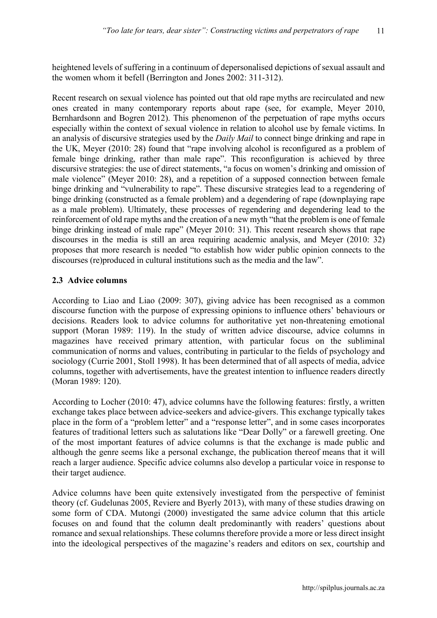heightened levels of suffering in a continuum of depersonalised depictions of sexual assault and the women whom it befell (Berrington and Jones 2002: 311-312).

Recent research on sexual violence has pointed out that old rape myths are recirculated and new ones created in many contemporary reports about rape (see, for example, Meyer 2010, Bernhardsonn and Bogren 2012). This phenomenon of the perpetuation of rape myths occurs especially within the context of sexual violence in relation to alcohol use by female victims. In an analysis of discursive strategies used by the *Daily Mail* to connect binge drinking and rape in the UK, Meyer (2010: 28) found that "rape involving alcohol is reconfigured as a problem of female binge drinking, rather than male rape". This reconfiguration is achieved by three discursive strategies: the use of direct statements, "a focus on women's drinking and omission of male violence" (Meyer 2010: 28), and a repetition of a supposed connection between female binge drinking and "vulnerability to rape". These discursive strategies lead to a regendering of binge drinking (constructed as a female problem) and a degendering of rape (downplaying rape as a male problem). Ultimately, these processes of regendering and degendering lead to the reinforcement of old rape myths and the creation of a new myth "that the problem is one of female binge drinking instead of male rape" (Meyer 2010: 31). This recent research shows that rape discourses in the media is still an area requiring academic analysis, and Meyer (2010: 32) proposes that more research is needed "to establish how wider public opinion connects to the discourses (re)produced in cultural institutions such as the media and the law".

#### **2.3 Advice columns**

According to Liao and Liao (2009: 307), giving advice has been recognised as a common discourse function with the purpose of expressing opinions to influence others' behaviours or decisions. Readers look to advice columns for authoritative yet non-threatening emotional support (Moran 1989: 119). In the study of written advice discourse, advice columns in magazines have received primary attention, with particular focus on the subliminal communication of norms and values, contributing in particular to the fields of psychology and sociology (Currie 2001, Stoll 1998). It has been determined that of all aspects of media, advice columns, together with advertisements, have the greatest intention to influence readers directly (Moran 1989: 120).

According to Locher (2010: 47), advice columns have the following features: firstly, a written exchange takes place between advice-seekers and advice-givers. This exchange typically takes place in the form of a "problem letter" and a "response letter", and in some cases incorporates features of traditional letters such as salutations like "Dear Dolly" or a farewell greeting. One of the most important features of advice columns is that the exchange is made public and although the genre seems like a personal exchange, the publication thereof means that it will reach a larger audience. Specific advice columns also develop a particular voice in response to their target audience.

Advice columns have been quite extensively investigated from the perspective of feminist theory (cf. Gudelunas 2005, Reviere and Byerly 2013), with many of these studies drawing on some form of CDA. Mutongi (2000) investigated the same advice column that this article focuses on and found that the column dealt predominantly with readers' questions about romance and sexual relationships. These columns therefore provide a more or less direct insight into the ideological perspectives of the magazine's readers and editors on sex, courtship and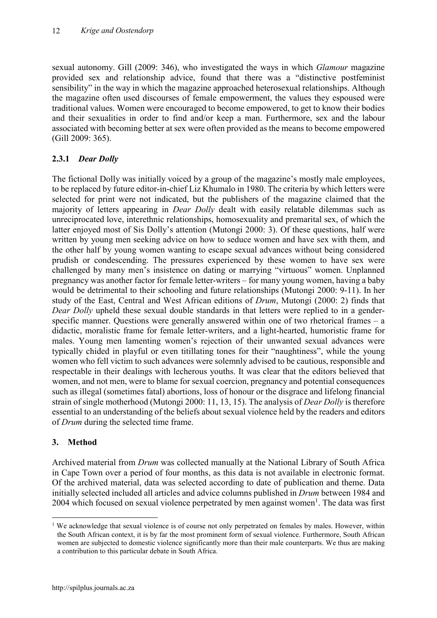sexual autonomy. Gill (2009: 346), who investigated the ways in which *Glamour* magazine provided sex and relationship advice, found that there was a "distinctive postfeminist sensibility" in the way in which the magazine approached heterosexual relationships. Although the magazine often used discourses of female empowerment, the values they espoused were traditional values. Women were encouraged to become empowered, to get to know their bodies and their sexualities in order to find and/or keep a man. Furthermore, sex and the labour associated with becoming better at sex were often provided as the means to become empowered (Gill 2009: 365).

# **2.3.1** *Dear Dolly*

The fictional Dolly was initially voiced by a group of the magazine's mostly male employees, to be replaced by future editor-in-chief Liz Khumalo in 1980. The criteria by which letters were selected for print were not indicated, but the publishers of the magazine claimed that the majority of letters appearing in *Dear Dolly* dealt with easily relatable dilemmas such as unreciprocated love, interethnic relationships, homosexuality and premarital sex, of which the latter enjoyed most of Sis Dolly's attention (Mutongi 2000: 3). Of these questions, half were written by young men seeking advice on how to seduce women and have sex with them, and the other half by young women wanting to escape sexual advances without being considered prudish or condescending. The pressures experienced by these women to have sex were challenged by many men's insistence on dating or marrying "virtuous" women. Unplanned pregnancy was another factor for female letter-writers – for many young women, having a baby would be detrimental to their schooling and future relationships (Mutongi 2000: 9-11). In her study of the East, Central and West African editions of *Drum*, Mutongi (2000: 2) finds that *Dear Dolly* upheld these sexual double standards in that letters were replied to in a genderspecific manner. Questions were generally answered within one of two rhetorical frames – a didactic, moralistic frame for female letter-writers, and a light-hearted, humoristic frame for males. Young men lamenting women's rejection of their unwanted sexual advances were typically chided in playful or even titillating tones for their "naughtiness", while the young women who fell victim to such advances were solemnly advised to be cautious, responsible and respectable in their dealings with lecherous youths. It was clear that the editors believed that women, and not men, were to blame for sexual coercion, pregnancy and potential consequences such as illegal (sometimes fatal) abortions, loss of honour or the disgrace and lifelong financial strain of single motherhood (Mutongi 2000: 11, 13, 15). The analysis of *Dear Dolly* is therefore essential to an understanding of the beliefs about sexual violence held by the readers and editors of *Drum* during the selected time frame.

# **3. Method**

Archived material from *Drum* was collected manually at the National Library of South Africa in Cape Town over a period of four months, as this data is not available in electronic format. Of the archived material, data was selected according to date of publication and theme. Data initially selected included all articles and advice columns published in *Drum* between 1984 and 2004 which focused on sexual violence perpetrated by men against women<sup>1</sup>. The data was first

<sup>&</sup>lt;sup>1</sup> We acknowledge that sexual violence is of course not only perpetrated on females by males. However, within the South African context, it is by far the most prominent form of sexual violence. Furthermore, South African women are subjected to domestic violence significantly more than their male counterparts. We thus are making a contribution to this particular debate in South Africa.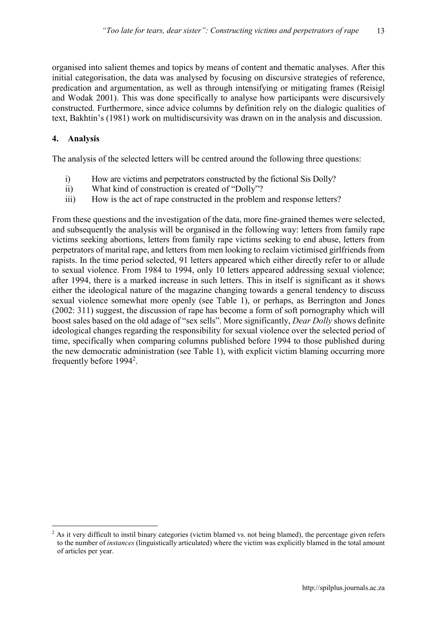organised into salient themes and topics by means of content and thematic analyses. After this initial categorisation, the data was analysed by focusing on discursive strategies of reference, predication and argumentation, as well as through intensifying or mitigating frames (Reisigl and Wodak 2001). This was done specifically to analyse how participants were discursively constructed. Furthermore, since advice columns by definition rely on the dialogic qualities of text, Bakhtin's (1981) work on multidiscursivity was drawn on in the analysis and discussion.

#### **4. Analysis**

The analysis of the selected letters will be centred around the following three questions:

- i) How are victims and perpetrators constructed by the fictional Sis Dolly?
- ii) What kind of construction is created of "Dolly"?
- iii) How is the act of rape constructed in the problem and response letters?

From these questions and the investigation of the data, more fine-grained themes were selected, and subsequently the analysis will be organised in the following way: letters from family rape victims seeking abortions, letters from family rape victims seeking to end abuse, letters from perpetrators of marital rape, and letters from men looking to reclaim victimised girlfriends from rapists. In the time period selected, 91 letters appeared which either directly refer to or allude to sexual violence. From 1984 to 1994, only 10 letters appeared addressing sexual violence; after 1994, there is a marked increase in such letters. This in itself is significant as it shows either the ideological nature of the magazine changing towards a general tendency to discuss sexual violence somewhat more openly (see Table 1), or perhaps, as Berrington and Jones (2002: 311) suggest, the discussion of rape has become a form of soft pornography which will boost sales based on the old adage of "sex sells". More significantly, *Dear Dolly* shows definite ideological changes regarding the responsibility for sexual violence over the selected period of time, specifically when comparing columns published before 1994 to those published during the new democratic administration (see Table 1), with explicit victim blaming occurring more frequently before 1994<sup>2</sup>.

<sup>&</sup>lt;sup>2</sup> As it very difficult to instil binary categories (victim blamed vs. not being blamed), the percentage given refers to the number of *instances* (linguistically articulated) where the victim was explicitly blamed in the total amount of articles per year.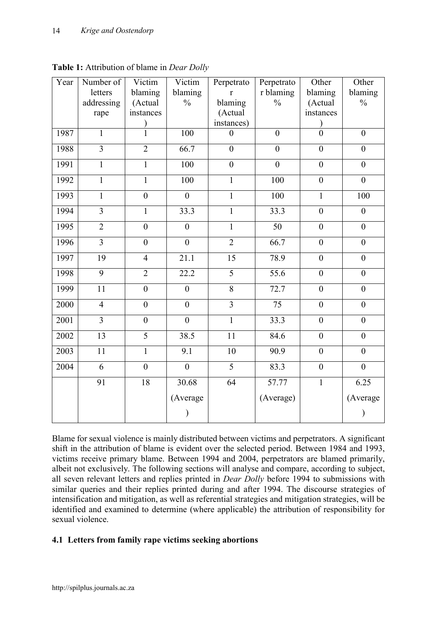| Year | Number of       | Victim           | Victim           | Perpetrato              | Perpetrato      | Other            | Other            |
|------|-----------------|------------------|------------------|-------------------------|-----------------|------------------|------------------|
|      | letters         | blaming          | blaming          | $\mathbf r$             | r blaming       | blaming          | blaming          |
|      | addressing      | (Actual          | $\frac{0}{0}$    | blaming                 | $\frac{0}{0}$   | (Actual          | $\frac{0}{0}$    |
|      | rape            | instances        |                  | (Actual                 |                 | instances        |                  |
|      |                 | $\mathcal{E}$    |                  | instances)              |                 |                  |                  |
| 1987 | $\overline{1}$  | $\overline{1}$   | 100              | $\theta$                | $\theta$        | $\overline{0}$   | $\overline{0}$   |
| 1988 | $\overline{3}$  | $\overline{2}$   | 66.7             | $\boldsymbol{0}$        | $\mathbf{0}$    | $\boldsymbol{0}$ | $\boldsymbol{0}$ |
| 1991 | $\mathbf{1}$    | 1                | 100              | $\boldsymbol{0}$        | $\mathbf{0}$    | $\boldsymbol{0}$ | $\boldsymbol{0}$ |
| 1992 | $\mathbf{1}$    | $\mathbf{1}$     | 100              | $\mathbf{1}$            | 100             | $\mathbf{0}$     | $\boldsymbol{0}$ |
| 1993 | $\mathbf{1}$    | $\boldsymbol{0}$ | $\boldsymbol{0}$ | $\mathbf{1}$            | 100             | $\mathbf{1}$     | 100              |
| 1994 | $\overline{3}$  | $\mathbf{1}$     | 33.3             | $\mathbf{1}$            | 33.3            | $\boldsymbol{0}$ | $\boldsymbol{0}$ |
| 1995 | $\overline{2}$  | $\mathbf{0}$     | $\overline{0}$   | $\mathbf{1}$            | $\overline{50}$ | $\mathbf{0}$     | $\overline{0}$   |
| 1996 | $\overline{3}$  | $\mathbf{0}$     | $\boldsymbol{0}$ | $\overline{2}$          | 66.7            | $\mathbf{0}$     | $\boldsymbol{0}$ |
| 1997 | 19              | $\overline{4}$   | 21.1             | 15                      | 78.9            | $\boldsymbol{0}$ | $\boldsymbol{0}$ |
| 1998 | $\overline{9}$  | $\overline{2}$   | 22.2             | $\overline{5}$          | 55.6            | $\overline{0}$   | $\boldsymbol{0}$ |
| 1999 | 11              | $\mathbf{0}$     | $\boldsymbol{0}$ | 8                       | 72.7            | $\boldsymbol{0}$ | $\boldsymbol{0}$ |
| 2000 | $\overline{4}$  | $\boldsymbol{0}$ | $\boldsymbol{0}$ | $\overline{\mathbf{3}}$ | 75              | $\boldsymbol{0}$ | $\boldsymbol{0}$ |
| 2001 | $\overline{3}$  | $\mathbf{0}$     | $\mathbf{0}$     | $\overline{1}$          | 33.3            | $\boldsymbol{0}$ | $\boldsymbol{0}$ |
| 2002 | $\overline{13}$ | $\overline{5}$   | 38.5             | 11                      | 84.6            | $\boldsymbol{0}$ | $\boldsymbol{0}$ |
| 2003 | 11              | $\mathbf{1}$     | 9.1              | 10                      | 90.9            | $\boldsymbol{0}$ | $\boldsymbol{0}$ |
| 2004 | 6               | $\overline{0}$   | $\overline{0}$   | $\overline{5}$          | 83.3            | $\overline{0}$   | $\overline{0}$   |
|      | $\overline{91}$ | 18               | 30.68            | $\overline{64}$         | 57.77           | $\overline{1}$   | 6.25             |
|      |                 |                  | (Average         |                         | (Average)       |                  | (Average         |
|      |                 |                  | $\mathcal{E}$    |                         |                 |                  | $\mathcal{E}$    |

**Table 1:** Attribution of blame in *Dear Dolly*

Blame for sexual violence is mainly distributed between victims and perpetrators. A significant shift in the attribution of blame is evident over the selected period. Between 1984 and 1993, victims receive primary blame. Between 1994 and 2004, perpetrators are blamed primarily, albeit not exclusively. The following sections will analyse and compare, according to subject, all seven relevant letters and replies printed in *Dear Dolly* before 1994 to submissions with similar queries and their replies printed during and after 1994. The discourse strategies of intensification and mitigation, as well as referential strategies and mitigation strategies, will be identified and examined to determine (where applicable) the attribution of responsibility for sexual violence.

# **4.1 Letters from family rape victims seeking abortions**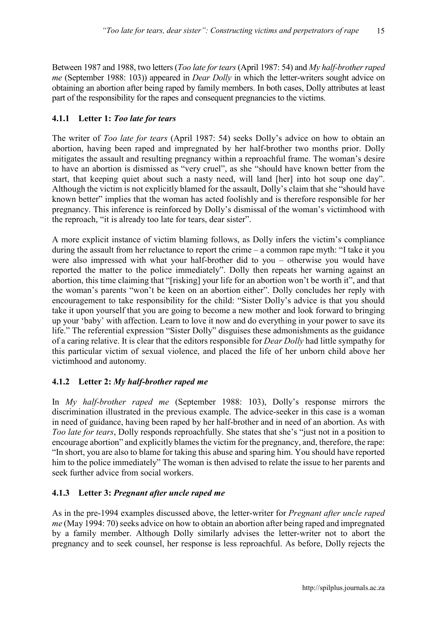Between 1987 and 1988, two letters (*Too late for tears* (April 1987: 54) and *My half-brother raped me* (September 1988: 103)) appeared in *Dear Dolly* in which the letter-writers sought advice on obtaining an abortion after being raped by family members. In both cases, Dolly attributes at least part of the responsibility for the rapes and consequent pregnancies to the victims.

### **4.1.1 Letter 1:** *Too late for tears*

The writer of *Too late for tears* (April 1987: 54) seeks Dolly's advice on how to obtain an abortion, having been raped and impregnated by her half-brother two months prior. Dolly mitigates the assault and resulting pregnancy within a reproachful frame. The woman's desire to have an abortion is dismissed as "very cruel", as she "should have known better from the start, that keeping quiet about such a nasty need, will land [her] into hot soup one day". Although the victim is not explicitly blamed for the assault, Dolly's claim that she "should have known better" implies that the woman has acted foolishly and is therefore responsible for her pregnancy. This inference is reinforced by Dolly's dismissal of the woman's victimhood with the reproach, "it is already too late for tears, dear sister".

A more explicit instance of victim blaming follows, as Dolly infers the victim's compliance during the assault from her reluctance to report the crime – a common rape myth: "I take it you were also impressed with what your half-brother did to you – otherwise you would have reported the matter to the police immediately". Dolly then repeats her warning against an abortion, this time claiming that "[risking] your life for an abortion won't be worth it", and that the woman's parents "won't be keen on an abortion either". Dolly concludes her reply with encouragement to take responsibility for the child: "Sister Dolly's advice is that you should take it upon yourself that you are going to become a new mother and look forward to bringing up your 'baby' with affection. Learn to love it now and do everything in your power to save its life." The referential expression "Sister Dolly" disguises these admonishments as the guidance of a caring relative. It is clear that the editors responsible for *Dear Dolly* had little sympathy for this particular victim of sexual violence, and placed the life of her unborn child above her victimhood and autonomy.

# **4.1.2 Letter 2:** *My half-brother raped me*

In *My half-brother raped me* (September 1988: 103), Dolly's response mirrors the discrimination illustrated in the previous example. The advice-seeker in this case is a woman in need of guidance, having been raped by her half-brother and in need of an abortion. As with *Too late for tears*, Dolly responds reproachfully. She states that she's "just not in a position to encourage abortion" and explicitly blames the victim for the pregnancy, and, therefore, the rape: "In short, you are also to blame for taking this abuse and sparing him. You should have reported him to the police immediately" The woman is then advised to relate the issue to her parents and seek further advice from social workers.

#### **4.1.3 Letter 3:** *Pregnant after uncle raped me*

As in the pre-1994 examples discussed above, the letter-writer for *Pregnant after uncle raped me* (May 1994: 70) seeks advice on how to obtain an abortion after being raped and impregnated by a family member. Although Dolly similarly advises the letter-writer not to abort the pregnancy and to seek counsel, her response is less reproachful. As before, Dolly rejects the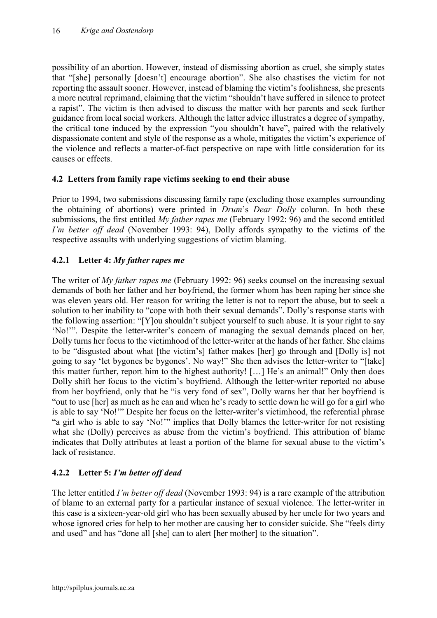possibility of an abortion. However, instead of dismissing abortion as cruel, she simply states that "[she] personally [doesn't] encourage abortion". She also chastises the victim for not reporting the assault sooner. However, instead of blaming the victim's foolishness, she presents a more neutral reprimand, claiming that the victim "shouldn't have suffered in silence to protect a rapist". The victim is then advised to discuss the matter with her parents and seek further guidance from local social workers. Although the latter advice illustrates a degree of sympathy, the critical tone induced by the expression "you shouldn't have", paired with the relatively dispassionate content and style of the response as a whole, mitigates the victim's experience of the violence and reflects a matter-of-fact perspective on rape with little consideration for its causes or effects.

# **4.2 Letters from family rape victims seeking to end their abuse**

Prior to 1994, two submissions discussing family rape (excluding those examples surrounding the obtaining of abortions) were printed in *Drum*'s *Dear Dolly* column. In both these submissions, the first entitled *My father rapes me* (February 1992: 96) and the second entitled *I'm better off dead* (November 1993: 94). Dolly affords sympathy to the victims of the respective assaults with underlying suggestions of victim blaming.

# **4.2.1 Letter 4:** *My father rapes me*

The writer of *My father rapes me* (February 1992: 96) seeks counsel on the increasing sexual demands of both her father and her boyfriend, the former whom has been raping her since she was eleven years old. Her reason for writing the letter is not to report the abuse, but to seek a solution to her inability to "cope with both their sexual demands". Dolly's response starts with the following assertion: "[Y]ou shouldn't subject yourself to such abuse. It is your right to say 'No!'". Despite the letter-writer's concern of managing the sexual demands placed on her, Dolly turns her focus to the victimhood of the letter-writer at the hands of her father. She claims to be "disgusted about what [the victim's] father makes [her] go through and [Dolly is] not going to say 'let bygones be bygones'. No way!" She then advises the letter-writer to "[take] this matter further, report him to the highest authority! […] He's an animal!" Only then does Dolly shift her focus to the victim's boyfriend. Although the letter-writer reported no abuse from her boyfriend, only that he "is very fond of sex", Dolly warns her that her boyfriend is "out to use [her] as much as he can and when he's ready to settle down he will go for a girl who is able to say 'No!'" Despite her focus on the letter-writer's victimhood, the referential phrase "a girl who is able to say 'No!'" implies that Dolly blames the letter-writer for not resisting what she (Dolly) perceives as abuse from the victim's boyfriend. This attribution of blame indicates that Dolly attributes at least a portion of the blame for sexual abuse to the victim's lack of resistance.

# **4.2.2 Letter 5:** *I'm better off dead*

The letter entitled *I'm better off dead* (November 1993: 94) is a rare example of the attribution of blame to an external party for a particular instance of sexual violence. The letter-writer in this case is a sixteen-year-old girl who has been sexually abused by her uncle for two years and whose ignored cries for help to her mother are causing her to consider suicide. She "feels dirty and used" and has "done all [she] can to alert [her mother] to the situation".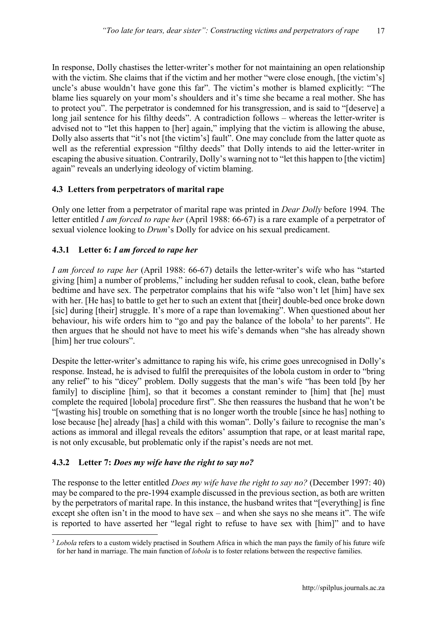In response, Dolly chastises the letter-writer's mother for not maintaining an open relationship with the victim. She claims that if the victim and her mother "were close enough, [the victim's] uncle's abuse wouldn't have gone this far". The victim's mother is blamed explicitly: "The blame lies squarely on your mom's shoulders and it's time she became a real mother. She has to protect you". The perpetrator is condemned for his transgression, and is said to "[deserve] a long jail sentence for his filthy deeds". A contradiction follows – whereas the letter-writer is advised not to "let this happen to [her] again," implying that the victim is allowing the abuse, Dolly also asserts that "it's not [the victim's] fault". One may conclude from the latter quote as well as the referential expression "filthy deeds" that Dolly intends to aid the letter-writer in escaping the abusive situation. Contrarily, Dolly's warning not to "let this happen to [the victim] again" reveals an underlying ideology of victim blaming.

### **4.3 Letters from perpetrators of marital rape**

Only one letter from a perpetrator of marital rape was printed in *Dear Dolly* before 1994*.* The letter entitled *I am forced to rape her* (April 1988: 66-67) is a rare example of a perpetrator of sexual violence looking to *Drum*'s Dolly for advice on his sexual predicament.

### **4.3.1 Letter 6:** *I am forced to rape her*

*I am forced to rape her* (April 1988: 66-67) details the letter-writer's wife who has "started giving [him] a number of problems," including her sudden refusal to cook, clean, bathe before bedtime and have sex. The perpetrator complains that his wife "also won't let [him] have sex with her. [He has] to battle to get her to such an extent that [their] double-bed once broke down [sic] during [their] struggle. It's more of a rape than lovemaking". When questioned about her behaviour, his wife orders him to "go and pay the balance of the lobola<sup>3</sup> to her parents". He then argues that he should not have to meet his wife's demands when "she has already shown [him] her true colours".

Despite the letter-writer's admittance to raping his wife, his crime goes unrecognised in Dolly's response. Instead, he is advised to fulfil the prerequisites of the lobola custom in order to "bring any relief" to his "dicey" problem. Dolly suggests that the man's wife "has been told [by her family] to discipline [him], so that it becomes a constant reminder to [him] that [he] must complete the required [lobola] procedure first". She then reassures the husband that he won't be "[wasting his] trouble on something that is no longer worth the trouble [since he has] nothing to lose because [he] already [has] a child with this woman". Dolly's failure to recognise the man's actions as immoral and illegal reveals the editors' assumption that rape, or at least marital rape, is not only excusable, but problematic only if the rapist's needs are not met.

#### **4.3.2 Letter 7:** *Does my wife have the right to say no?*

The response to the letter entitled *Does my wife have the right to say no?* (December 1997: 40) may be compared to the pre-1994 example discussed in the previous section, as both are written by the perpetrators of marital rape. In this instance, the husband writes that "[everything] is fine except she often isn't in the mood to have sex – and when she says no she means it". The wife is reported to have asserted her "legal right to refuse to have sex with [him]" and to have

 <sup>3</sup> *Lobola* refers to a custom widely practised in Southern Africa in which the man pays the family of his future wife for her hand in marriage. The main function of *lobola* is to foster relations between the respective families.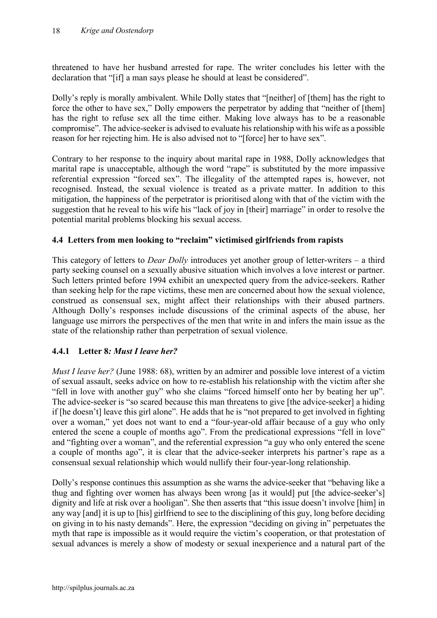threatened to have her husband arrested for rape. The writer concludes his letter with the declaration that "[if] a man says please he should at least be considered".

Dolly's reply is morally ambivalent. While Dolly states that "[neither] of [them] has the right to force the other to have sex," Dolly empowers the perpetrator by adding that "neither of [them] has the right to refuse sex all the time either. Making love always has to be a reasonable compromise". The advice-seeker is advised to evaluate his relationship with his wife as a possible reason for her rejecting him. He is also advised not to "[force] her to have sex".

Contrary to her response to the inquiry about marital rape in 1988, Dolly acknowledges that marital rape is unacceptable, although the word "rape" is substituted by the more impassive referential expression "forced sex". The illegality of the attempted rapes is, however, not recognised. Instead, the sexual violence is treated as a private matter. In addition to this mitigation, the happiness of the perpetrator is prioritised along with that of the victim with the suggestion that he reveal to his wife his "lack of joy in [their] marriage" in order to resolve the potential marital problems blocking his sexual access.

### **4.4 Letters from men looking to "reclaim" victimised girlfriends from rapists**

This category of letters to *Dear Dolly* introduces yet another group of letter-writers – a third party seeking counsel on a sexually abusive situation which involves a love interest or partner. Such letters printed before 1994 exhibit an unexpected query from the advice-seekers. Rather than seeking help for the rape victims, these men are concerned about how the sexual violence, construed as consensual sex, might affect their relationships with their abused partners. Although Dolly's responses include discussions of the criminal aspects of the abuse, her language use mirrors the perspectives of the men that write in and infers the main issue as the state of the relationship rather than perpetration of sexual violence.

# **4.4.1 Letter 8***: Must I leave her?*

*Must I leave her?* (June 1988: 68), written by an admirer and possible love interest of a victim of sexual assault, seeks advice on how to re-establish his relationship with the victim after she "fell in love with another guy" who she claims "forced himself onto her by beating her up". The advice-seeker is "so scared because this man threatens to give [the advice-seeker] a hiding if [he doesn't] leave this girl alone". He adds that he is "not prepared to get involved in fighting over a woman," yet does not want to end a "four-year-old affair because of a guy who only entered the scene a couple of months ago". From the predicational expressions "fell in love" and "fighting over a woman", and the referential expression "a guy who only entered the scene a couple of months ago", it is clear that the advice-seeker interprets his partner's rape as a consensual sexual relationship which would nullify their four-year-long relationship.

Dolly's response continues this assumption as she warns the advice-seeker that "behaving like a thug and fighting over women has always been wrong [as it would] put [the advice-seeker's] dignity and life at risk over a hooligan". She then asserts that "this issue doesn't involve [him] in any way [and] it is up to [his] girlfriend to see to the disciplining of this guy, long before deciding on giving in to his nasty demands". Here, the expression "deciding on giving in" perpetuates the myth that rape is impossible as it would require the victim's cooperation, or that protestation of sexual advances is merely a show of modesty or sexual inexperience and a natural part of the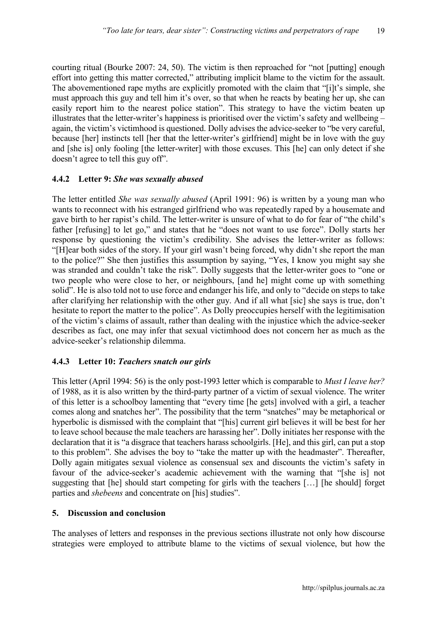courting ritual (Bourke 2007: 24, 50). The victim is then reproached for "not [putting] enough effort into getting this matter corrected," attributing implicit blame to the victim for the assault. The abovementioned rape myths are explicitly promoted with the claim that "[i]t's simple, she must approach this guy and tell him it's over, so that when he reacts by beating her up, she can easily report him to the nearest police station". This strategy to have the victim beaten up illustrates that the letter-writer's happiness is prioritised over the victim's safety and wellbeing – again, the victim's victimhood is questioned. Dolly advises the advice-seeker to "be very careful, because [her] instincts tell [her that the letter-writer's girlfriend] might be in love with the guy and [she is] only fooling [the letter-writer] with those excuses. This [he] can only detect if she doesn't agree to tell this guy off".

#### **4.4.2 Letter 9:** *She was sexually abused*

The letter entitled *She was sexually abused* (April 1991: 96) is written by a young man who wants to reconnect with his estranged girlfriend who was repeatedly raped by a housemate and gave birth to her rapist's child. The letter-writer is unsure of what to do for fear of "the child's father [refusing] to let go," and states that he "does not want to use force". Dolly starts her response by questioning the victim's credibility. She advises the letter-writer as follows: "[H]ear both sides of the story. If your girl wasn't being forced, why didn't she report the man to the police?" She then justifies this assumption by saying, "Yes, I know you might say she was stranded and couldn't take the risk". Dolly suggests that the letter-writer goes to "one or two people who were close to her, or neighbours, [and he] might come up with something solid". He is also told not to use force and endanger his life, and only to "decide on steps to take after clarifying her relationship with the other guy. And if all what [sic] she says is true, don't hesitate to report the matter to the police". As Dolly preoccupies herself with the legitimisation of the victim's claims of assault, rather than dealing with the injustice which the advice-seeker describes as fact, one may infer that sexual victimhood does not concern her as much as the advice-seeker's relationship dilemma.

# **4.4.3 Letter 10:** *Teachers snatch our girls*

This letter (April 1994: 56) is the only post-1993 letter which is comparable to *Must I leave her?* of 1988, as it is also written by the third-party partner of a victim of sexual violence. The writer of this letter is a schoolboy lamenting that "every time [he gets] involved with a girl, a teacher comes along and snatches her". The possibility that the term "snatches" may be metaphorical or hyperbolic is dismissed with the complaint that "[his] current girl believes it will be best for her to leave school because the male teachers are harassing her". Dolly initiates her response with the declaration that it is "a disgrace that teachers harass schoolgirls. [He], and this girl, can put a stop to this problem". She advises the boy to "take the matter up with the headmaster". Thereafter, Dolly again mitigates sexual violence as consensual sex and discounts the victim's safety in favour of the advice-seeker's academic achievement with the warning that "[she is] not suggesting that [he] should start competing for girls with the teachers […] [he should] forget parties and *shebeens* and concentrate on [his] studies".

#### **5. Discussion and conclusion**

The analyses of letters and responses in the previous sections illustrate not only how discourse strategies were employed to attribute blame to the victims of sexual violence, but how the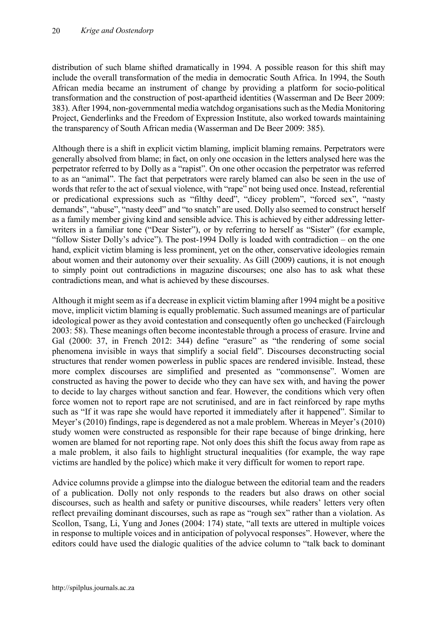distribution of such blame shifted dramatically in 1994. A possible reason for this shift may include the overall transformation of the media in democratic South Africa. In 1994, the South African media became an instrument of change by providing a platform for socio-political transformation and the construction of post-apartheid identities (Wasserman and De Beer 2009: 383). After 1994, non-governmental media watchdog organisations such as the Media Monitoring Project, Genderlinks and the Freedom of Expression Institute, also worked towards maintaining the transparency of South African media (Wasserman and De Beer 2009: 385).

Although there is a shift in explicit victim blaming, implicit blaming remains. Perpetrators were generally absolved from blame; in fact, on only one occasion in the letters analysed here was the perpetrator referred to by Dolly as a "rapist". On one other occasion the perpetrator was referred to as an "animal". The fact that perpetrators were rarely blamed can also be seen in the use of words that refer to the act of sexual violence, with "rape" not being used once. Instead, referential or predicational expressions such as "filthy deed", "dicey problem", "forced sex", "nasty demands", "abuse", "nasty deed" and "to snatch" are used. Dolly also seemed to construct herself as a family member giving kind and sensible advice. This is achieved by either addressing letterwriters in a familiar tone ("Dear Sister"), or by referring to herself as "Sister" (for example, "follow Sister Dolly's advice"). The post-1994 Dolly is loaded with contradiction – on the one hand, explicit victim blaming is less prominent, yet on the other, conservative ideologies remain about women and their autonomy over their sexuality. As Gill (2009) cautions, it is not enough to simply point out contradictions in magazine discourses; one also has to ask what these contradictions mean, and what is achieved by these discourses.

Although it might seem as if a decrease in explicit victim blaming after 1994 might be a positive move, implicit victim blaming is equally problematic. Such assumed meanings are of particular ideological power as they avoid contestation and consequently often go unchecked (Fairclough 2003: 58). These meanings often become incontestable through a process of erasure. Irvine and Gal (2000: 37, in French 2012: 344) define "erasure" as "the rendering of some social phenomena invisible in ways that simplify a social field". Discourses deconstructing social structures that render women powerless in public spaces are rendered invisible. Instead, these more complex discourses are simplified and presented as "commonsense". Women are constructed as having the power to decide who they can have sex with, and having the power to decide to lay charges without sanction and fear. However, the conditions which very often force women not to report rape are not scrutinised, and are in fact reinforced by rape myths such as "If it was rape she would have reported it immediately after it happened". Similar to Meyer's (2010) findings, rape is degendered as not a male problem. Whereas in Meyer's (2010) study women were constructed as responsible for their rape because of binge drinking, here women are blamed for not reporting rape. Not only does this shift the focus away from rape as a male problem, it also fails to highlight structural inequalities (for example, the way rape victims are handled by the police) which make it very difficult for women to report rape.

Advice columns provide a glimpse into the dialogue between the editorial team and the readers of a publication. Dolly not only responds to the readers but also draws on other social discourses, such as health and safety or punitive discourses, while readers' letters very often reflect prevailing dominant discourses, such as rape as "rough sex" rather than a violation. As Scollon, Tsang, Li, Yung and Jones (2004: 174) state, "all texts are uttered in multiple voices in response to multiple voices and in anticipation of polyvocal responses". However, where the editors could have used the dialogic qualities of the advice column to "talk back to dominant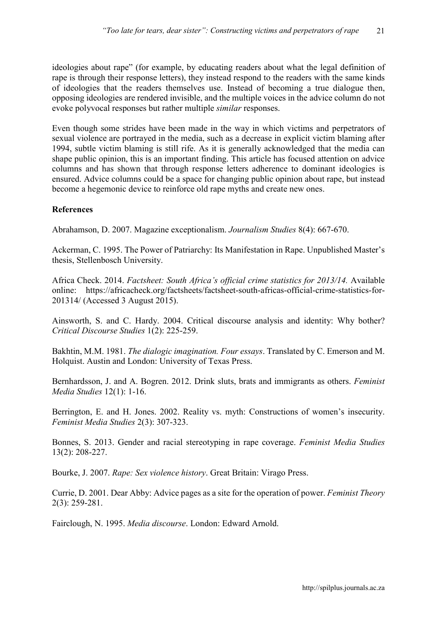ideologies about rape" (for example, by educating readers about what the legal definition of rape is through their response letters), they instead respond to the readers with the same kinds of ideologies that the readers themselves use. Instead of becoming a true dialogue then, opposing ideologies are rendered invisible, and the multiple voices in the advice column do not evoke polyvocal responses but rather multiple *similar* responses.

Even though some strides have been made in the way in which victims and perpetrators of sexual violence are portrayed in the media, such as a decrease in explicit victim blaming after 1994, subtle victim blaming is still rife. As it is generally acknowledged that the media can shape public opinion, this is an important finding. This article has focused attention on advice columns and has shown that through response letters adherence to dominant ideologies is ensured. Advice columns could be a space for changing public opinion about rape, but instead become a hegemonic device to reinforce old rape myths and create new ones.

#### **References**

Abrahamson, D. 2007. Magazine exceptionalism. *Journalism Studies* 8(4): 667-670.

Ackerman, C. 1995. The Power of Patriarchy: Its Manifestation in Rape. Unpublished Master's thesis, Stellenbosch University.

Africa Check. 2014. *Factsheet: South Africa's official crime statistics for 2013/14.* Available online: https://africacheck.org/factsheets/factsheet-south-africas-official-crime-statistics-for-201314/ (Accessed 3 August 2015).

Ainsworth, S. and C. Hardy. 2004. Critical discourse analysis and identity: Why bother? *Critical Discourse Studies* 1(2): 225-259.

Bakhtin, M.M. 1981. *The dialogic imagination. Four essays*. Translated by C. Emerson and M. Holquist. Austin and London: University of Texas Press.

Bernhardsson, J. and A. Bogren. 2012. Drink sluts, brats and immigrants as others. *Feminist Media Studies* 12(1): 1-16.

Berrington, E. and H. Jones. 2002. Reality vs. myth: Constructions of women's insecurity. *Feminist Media Studies* 2(3): 307-323.

Bonnes, S. 2013. Gender and racial stereotyping in rape coverage. *Feminist Media Studies* 13(2): 208-227.

Bourke, J. 2007. *Rape: Sex violence history*. Great Britain: Virago Press.

Currie, D. 2001. Dear Abby: Advice pages as a site for the operation of power. *Feminist Theory* 2(3): 259-281.

Fairclough, N. 1995. *Media discourse*. London: Edward Arnold.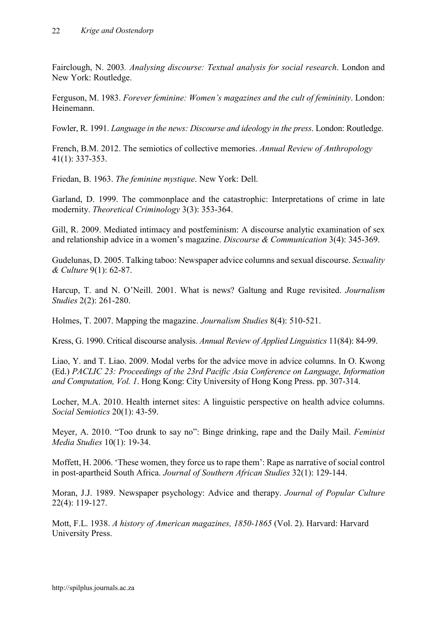Fairclough, N. 2003*. Analysing discourse: Textual analysis for social research*. London and New York: Routledge.

Ferguson, M. 1983. *Forever feminine: Women's magazines and the cult of femininity*. London: Heinemann.

Fowler, R. 1991. *Language in the news: Discourse and ideology in the press*. London: Routledge.

French, B.M. 2012. The semiotics of collective memories. *Annual Review of Anthropology* 41(1): 337-353.

Friedan, B. 1963. *The feminine mystique*. New York: Dell.

Garland, D. 1999. The commonplace and the catastrophic: Interpretations of crime in late modernity. *Theoretical Criminology* 3(3): 353-364.

Gill, R. 2009. Mediated intimacy and postfeminism: A discourse analytic examination of sex and relationship advice in a women's magazine. *Discourse & Communication* 3(4): 345-369.

Gudelunas, D. 2005. Talking taboo: Newspaper advice columns and sexual discourse. *Sexuality & Culture* 9(1): 62-87.

Harcup, T. and N. O'Neill. 2001. What is news? Galtung and Ruge revisited. *Journalism Studies* 2(2): 261-280.

Holmes, T. 2007. Mapping the magazine. *Journalism Studies* 8(4): 510-521.

Kress, G. 1990. Critical discourse analysis. *Annual Review of Applied Linguistics* 11(84): 84-99.

Liao, Y. and T. Liao. 2009. Modal verbs for the advice move in advice columns. In O. Kwong (Ed.) *PACLIC 23: Proceedings of the 23rd Pacific Asia Conference on Language, Information and Computation, Vol. 1*. Hong Kong: City University of Hong Kong Press. pp. 307-314.

Locher, M.A. 2010. Health internet sites: A linguistic perspective on health advice columns. *Social Semiotics* 20(1): 43-59.

Meyer, A. 2010. "Too drunk to say no": Binge drinking, rape and the Daily Mail. *Feminist Media Studies* 10(1): 19-34.

Moffett, H. 2006. 'These women, they force us to rape them': Rape as narrative of social control in post-apartheid South Africa. *Journal of Southern African Studies* 32(1): 129-144.

Moran, J.J. 1989. Newspaper psychology: Advice and therapy. *Journal of Popular Culture* 22(4): 119-127.

Mott, F.L. 1938. *A history of American magazines, 1850-1865* (Vol. 2). Harvard: Harvard University Press.